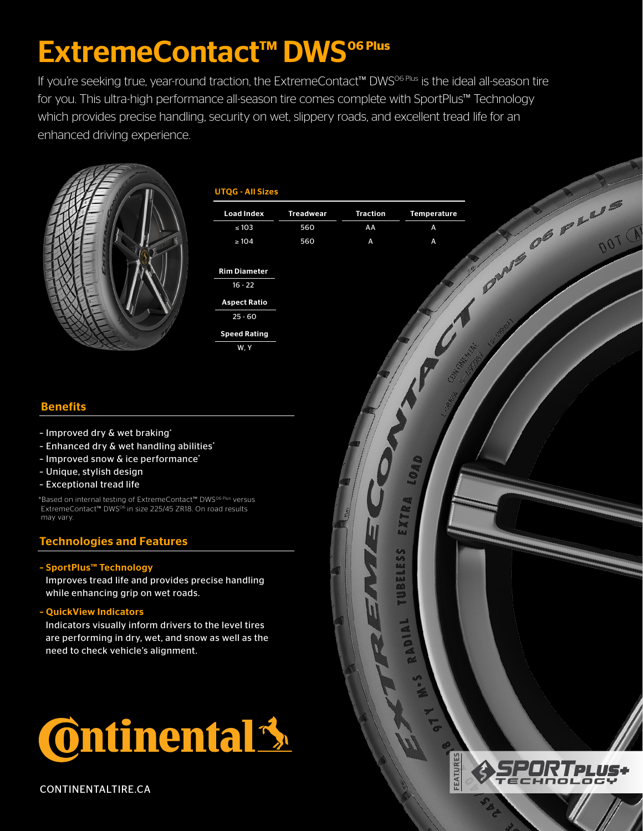# **ExtremeContact<sup>™</sup> DWS<sup>06 Plus</sup>**

If you're seeking true, year-round traction, the ExtremeContact™ DWS<sup>06 Plus</sup> is the ideal all-season tire for you. This ultra-high performance all-season tire comes complete with SportPlus™ Technology which provides precise handling, security on wet, slippery roads, and excellent tread life for an enhanced driving experience.



### UTQG - All Sizes

| <b>Load Index</b>   | <b>Treadwear</b> | <b>Traction</b> | <b>Temperature</b> |
|---------------------|------------------|-----------------|--------------------|
| $\leq 103$          | 560              | AA              | A                  |
| $\geq 104$          | 560              | A               | A                  |
|                     |                  |                 |                    |
| <b>Rim Diameter</b> |                  |                 |                    |
| $16 - 22$           |                  |                 |                    |
| <b>Aspect Ratio</b> |                  |                 |                    |
| $25 - 60$           |                  |                 |                    |
| <b>Speed Rating</b> |                  |                 |                    |
| W.Y                 |                  |                 |                    |
|                     |                  |                 |                    |

# **Benefits**

- Improved dry & wet braking\*
- Enhanced dry & wet handling abilities\*
- Improved snow & ice performance\*
- Unique, stylish design
- Exceptional tread life

\*Based on internal testing of ExtremeContact™ DWS06 Plus versus ExtremeContact™ DWS<sup>06</sup> in size 225/45 ZR18. On road results may vary.

## Technologies and Features

#### – SportPlus™ Technology

Improves tread life and provides precise handling while enhancing grip on wet roads.

#### – QuickView Indicators

Indicators visually inform drivers to the level tires are performing in dry, wet, and snow as well as the need to check vehicle's alignment.







**CAMP OF PLUS**